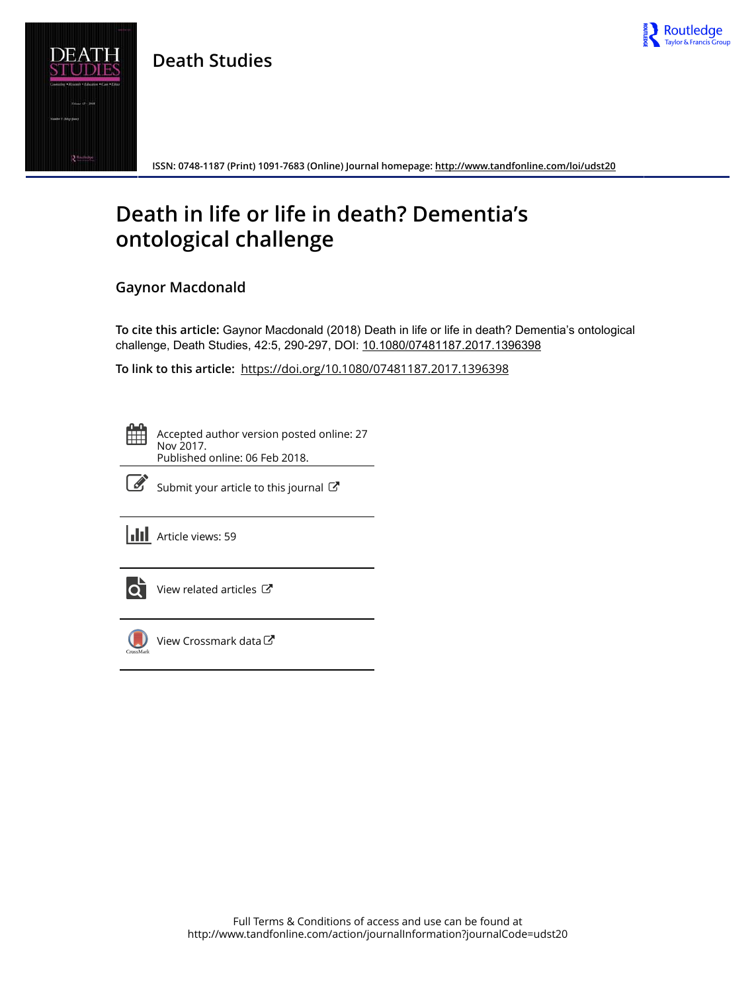

**Death Studies**



**ISSN: 0748-1187 (Print) 1091-7683 (Online) Journal homepage: http://www.tandfonline.com/loi/udst20**

# **Death in life or life in death? Dementia's ontological challenge**

# **Gaynor Macdonald**

**To cite this article:** Gaynor Macdonald (2018) Death in life or life in death? Dementia's ontological challenge, Death Studies, 42:5, 290-297, DOI: 10.1080/07481187.2017.1396398

**To link to this article:** https://doi.org/10.1080/07481187.2017.1396398



Accepted author version posted online: 27 Nov 2017.

Published online: 06 Feb 2018.



 $\overrightarrow{S}$  Submit your article to this journal  $\overrightarrow{S}$ 

 $\left| \right|$  Article views: 59



View related articles C



View Crossmark data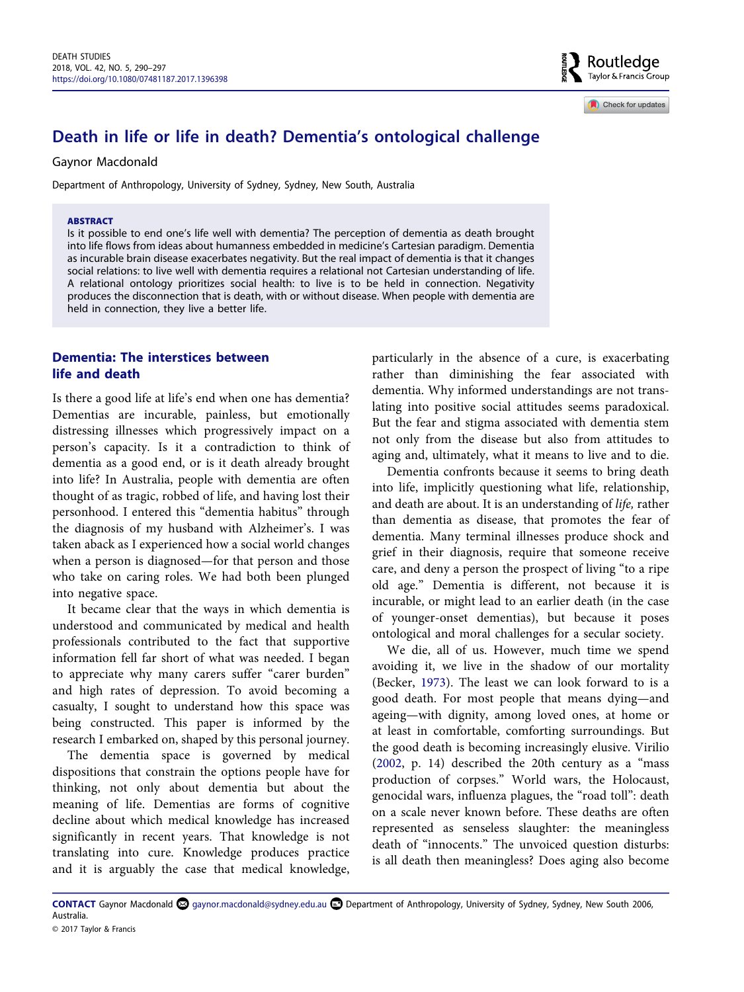$\Box$  Check for updates

# **Death in life or life in death? Dementia's ontological challenge**

Gaynor Macdonald

Department of Anthropology, University of Sydney, Sydney, New South, Australia

#### **ABSTRACT**

Is it possible to end one's life well with dementia? The perception of dementia as death brought into life flows from ideas about humanness embedded in medicine's Cartesian paradigm. Dementia as incurable brain disease exacerbates negativity. But the real impact of dementia is that it changes social relations: to live well with dementia requires a relational not Cartesian understanding of life. A relational ontology prioritizes social health: to live is to be held in connection. Negativity produces the disconnection that is death, with or without disease. When people with dementia are held in connection, they live a better life.

## **Dementia: The interstices between life and death**

Is there a good life at life's end when one has dementia? Dementias are incurable, painless, but emotionally distressing illnesses which progressively impact on a person's capacity. Is it a contradiction to think of dementia as a good end, or is it death already brought into life? In Australia, people with dementia are often thought of as tragic, robbed of life, and having lost their personhood. I entered this "dementia habitus" through the diagnosis of my husband with Alzheimer's. I was taken aback as I experienced how a social world changes when a person is diagnosed—for that person and those who take on caring roles. We had both been plunged into negative space.

It became clear that the ways in which dementia is understood and communicated by medical and health professionals contributed to the fact that supportive information fell far short of what was needed. I began to appreciate why many carers suffer "carer burden" and high rates of depression. To avoid becoming a casualty, I sought to understand how this space was being constructed. This paper is informed by the research I embarked on, shaped by this personal journey.

The dementia space is governed by medical dispositions that constrain the options people have for thinking, not only about dementia but about the meaning of life. Dementias are forms of cognitive decline about which medical knowledge has increased significantly in recent years. That knowledge is not translating into cure. Knowledge produces practice and it is arguably the case that medical knowledge, particularly in the absence of a cure, is exacerbating rather than diminishing the fear associated with dementia. Why informed understandings are not translating into positive social attitudes seems paradoxical. But the fear and stigma associated with dementia stem not only from the disease but also from attitudes to aging and, ultimately, what it means to live and to die.

Dementia confronts because it seems to bring death into life, implicitly questioning what life, relationship, and death are about. It is an understanding of *life,* rather than dementia as disease, that promotes the fear of dementia. Many terminal illnesses produce shock and grief in their diagnosis, require that someone receive care, and deny a person the prospect of living "to a ripe old age." Dementia is different, not because it is incurable, or might lead to an earlier death (in the case of younger-onset dementias), but because it poses ontological and moral challenges for a secular society.

We die, all of us. However, much time we spend avoiding it, we live in the shadow of our mortality (Becker, 1973). The least we can look forward to is a good death. For most people that means dying—and ageing—with dignity, among loved ones, at home or at least in comfortable, comforting surroundings. But the good death is becoming increasingly elusive. Virilio (2002, p. 14) described the 20th century as a "mass production of corpses." World wars, the Holocaust, genocidal wars, influenza plagues, the "road toll": death on a scale never known before. These deaths are often represented as senseless slaughter: the meaningless death of "innocents." The unvoiced question disturbs: is all death then meaningless? Does aging also become

**CONTACT** Gaynor Macdonald gaynor.macdonald@sydney.edu.au Department of Anthropology, University of Sydney, Sydney, New South 2006, Australia. © 2017 Taylor & Francis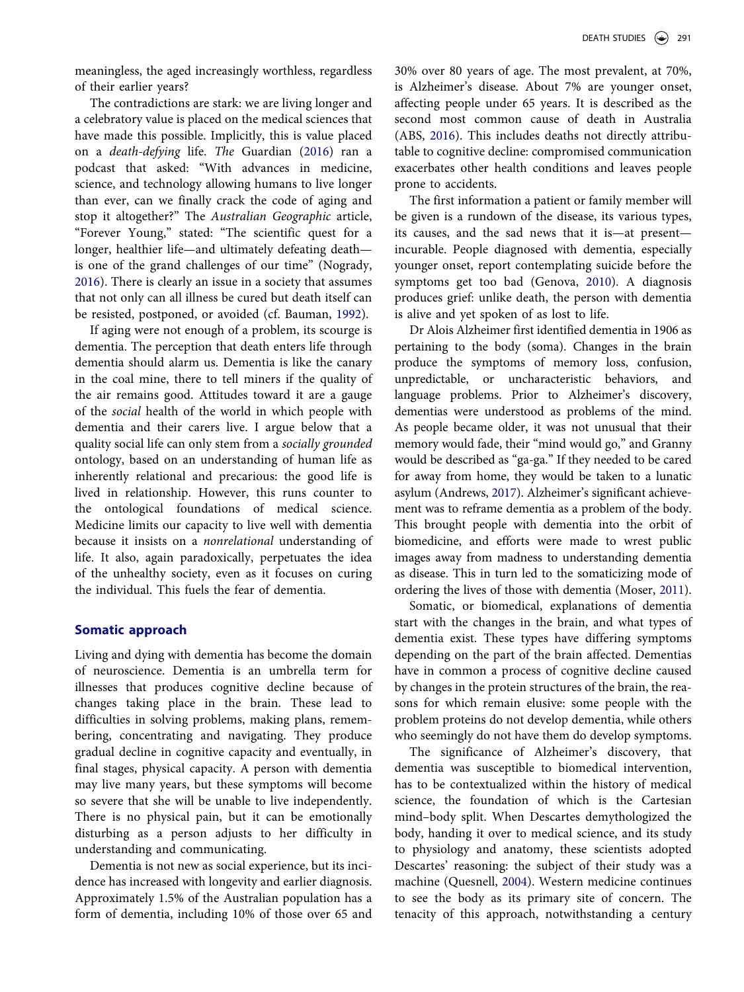meaningless, the aged increasingly worthless, regardless of their earlier years?

The contradictions are stark: we are living longer and a celebratory value is placed on the medical sciences that have made this possible. Implicitly, this is value placed on a *death-defying* life. *The* Guardian (2016) ran a podcast that asked: "With advances in medicine, science, and technology allowing humans to live longer than ever, can we finally crack the code of aging and stop it altogether?" The *Australian Geographic* article, "Forever Young," stated: "The scientific quest for a longer, healthier life—and ultimately defeating death is one of the grand challenges of our time" (Nogrady, 2016). There is clearly an issue in a society that assumes that not only can all illness be cured but death itself can be resisted, postponed, or avoided (cf. Bauman, 1992).

If aging were not enough of a problem, its scourge is dementia. The perception that death enters life through dementia should alarm us. Dementia is like the canary in the coal mine, there to tell miners if the quality of the air remains good. Attitudes toward it are a gauge of the *social* health of the world in which people with dementia and their carers live. I argue below that a quality social life can only stem from a *socially grounded*  ontology, based on an understanding of human life as inherently relational and precarious: the good life is lived in relationship. However, this runs counter to the ontological foundations of medical science. Medicine limits our capacity to live well with dementia because it insists on a *nonrelational* understanding of life. It also, again paradoxically, perpetuates the idea of the unhealthy society, even as it focuses on curing the individual. This fuels the fear of dementia.

#### **Somatic approach**

Living and dying with dementia has become the domain of neuroscience. Dementia is an umbrella term for illnesses that produces cognitive decline because of changes taking place in the brain. These lead to difficulties in solving problems, making plans, remembering, concentrating and navigating. They produce gradual decline in cognitive capacity and eventually, in final stages, physical capacity. A person with dementia may live many years, but these symptoms will become so severe that she will be unable to live independently. There is no physical pain, but it can be emotionally disturbing as a person adjusts to her difficulty in understanding and communicating.

Dementia is not new as social experience, but its incidence has increased with longevity and earlier diagnosis. Approximately 1.5% of the Australian population has a form of dementia, including 10% of those over 65 and

30% over 80 years of age. The most prevalent, at 70%, is Alzheimer's disease. About 7% are younger onset, affecting people under 65 years. It is described as the second most common cause of death in Australia (ABS, 2016). This includes deaths not directly attributable to cognitive decline: compromised communication exacerbates other health conditions and leaves people prone to accidents.

The first information a patient or family member will be given is a rundown of the disease, its various types, its causes, and the sad news that it is—at present incurable. People diagnosed with dementia, especially younger onset, report contemplating suicide before the symptoms get too bad (Genova, 2010). A diagnosis produces grief: unlike death, the person with dementia is alive and yet spoken of as lost to life.

Dr Alois Alzheimer first identified dementia in 1906 as pertaining to the body (soma). Changes in the brain produce the symptoms of memory loss, confusion, unpredictable, or uncharacteristic behaviors, and language problems. Prior to Alzheimer's discovery, dementias were understood as problems of the mind. As people became older, it was not unusual that their memory would fade, their "mind would go," and Granny would be described as "ga-ga." If they needed to be cared for away from home, they would be taken to a lunatic asylum (Andrews, 2017). Alzheimer's significant achievement was to reframe dementia as a problem of the body. This brought people with dementia into the orbit of biomedicine, and efforts were made to wrest public images away from madness to understanding dementia as disease. This in turn led to the somaticizing mode of ordering the lives of those with dementia (Moser, 2011).

Somatic, or biomedical, explanations of dementia start with the changes in the brain, and what types of dementia exist. These types have differing symptoms depending on the part of the brain affected. Dementias have in common a process of cognitive decline caused by changes in the protein structures of the brain, the reasons for which remain elusive: some people with the problem proteins do not develop dementia, while others who seemingly do not have them do develop symptoms.

The significance of Alzheimer's discovery, that dementia was susceptible to biomedical intervention, has to be contextualized within the history of medical science, the foundation of which is the Cartesian mind–body split. When Descartes demythologized the body, handing it over to medical science, and its study to physiology and anatomy, these scientists adopted Descartes' reasoning: the subject of their study was a machine (Quesnell, 2004). Western medicine continues to see the body as its primary site of concern. The tenacity of this approach, notwithstanding a century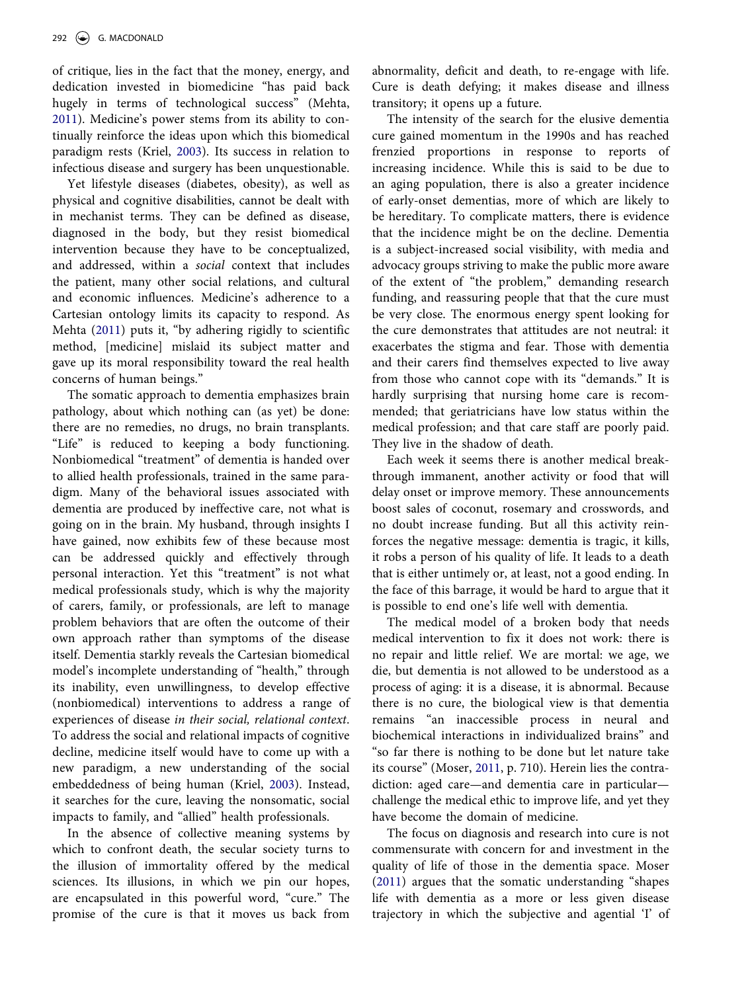of critique, lies in the fact that the money, energy, and dedication invested in biomedicine "has paid back hugely in terms of technological success" (Mehta, 2011). Medicine's power stems from its ability to continually reinforce the ideas upon which this biomedical paradigm rests (Kriel, 2003). Its success in relation to infectious disease and surgery has been unquestionable.

Yet lifestyle diseases (diabetes, obesity), as well as physical and cognitive disabilities, cannot be dealt with in mechanist terms. They can be defined as disease, diagnosed in the body, but they resist biomedical intervention because they have to be conceptualized, and addressed, within a *social* context that includes the patient, many other social relations, and cultural and economic influences. Medicine's adherence to a Cartesian ontology limits its capacity to respond. As Mehta (2011) puts it, "by adhering rigidly to scientific method, [medicine] mislaid its subject matter and gave up its moral responsibility toward the real health concerns of human beings."

The somatic approach to dementia emphasizes brain pathology, about which nothing can (as yet) be done: there are no remedies, no drugs, no brain transplants. "Life" is reduced to keeping a body functioning. Nonbiomedical "treatment" of dementia is handed over to allied health professionals, trained in the same paradigm. Many of the behavioral issues associated with dementia are produced by ineffective care, not what is going on in the brain. My husband, through insights I have gained, now exhibits few of these because most can be addressed quickly and effectively through personal interaction. Yet this "treatment" is not what medical professionals study, which is why the majority of carers, family, or professionals, are left to manage problem behaviors that are often the outcome of their own approach rather than symptoms of the disease itself. Dementia starkly reveals the Cartesian biomedical model's incomplete understanding of "health," through its inability, even unwillingness, to develop effective (nonbiomedical) interventions to address a range of experiences of disease *in their social, relational context*. To address the social and relational impacts of cognitive decline, medicine itself would have to come up with a new paradigm, a new understanding of the social embeddedness of being human (Kriel, 2003). Instead, it searches for the cure, leaving the nonsomatic, social impacts to family, and "allied" health professionals.

In the absence of collective meaning systems by which to confront death, the secular society turns to the illusion of immortality offered by the medical sciences. Its illusions, in which we pin our hopes, are encapsulated in this powerful word, "cure." The promise of the cure is that it moves us back from

abnormality, deficit and death, to re-engage with life. Cure is death defying; it makes disease and illness transitory; it opens up a future.

The intensity of the search for the elusive dementia cure gained momentum in the 1990s and has reached frenzied proportions in response to reports of increasing incidence. While this is said to be due to an aging population, there is also a greater incidence of early-onset dementias, more of which are likely to be hereditary. To complicate matters, there is evidence that the incidence might be on the decline. Dementia is a subject-increased social visibility, with media and advocacy groups striving to make the public more aware of the extent of "the problem," demanding research funding, and reassuring people that that the cure must be very close. The enormous energy spent looking for the cure demonstrates that attitudes are not neutral: it exacerbates the stigma and fear. Those with dementia and their carers find themselves expected to live away from those who cannot cope with its "demands." It is hardly surprising that nursing home care is recommended; that geriatricians have low status within the medical profession; and that care staff are poorly paid. They live in the shadow of death.

Each week it seems there is another medical breakthrough immanent, another activity or food that will delay onset or improve memory. These announcements boost sales of coconut, rosemary and crosswords, and no doubt increase funding. But all this activity reinforces the negative message: dementia is tragic, it kills, it robs a person of his quality of life. It leads to a death that is either untimely or, at least, not a good ending. In the face of this barrage, it would be hard to argue that it is possible to end one's life well with dementia.

The medical model of a broken body that needs medical intervention to fix it does not work: there is no repair and little relief. We are mortal: we age, we die, but dementia is not allowed to be understood as a process of aging: it is a disease, it is abnormal. Because there is no cure, the biological view is that dementia remains "an inaccessible process in neural and biochemical interactions in individualized brains" and "so far there is nothing to be done but let nature take its course" (Moser, 2011, p. 710). Herein lies the contradiction: aged care—and dementia care in particular challenge the medical ethic to improve life, and yet they have become the domain of medicine.

The focus on diagnosis and research into cure is not commensurate with concern for and investment in the quality of life of those in the dementia space. Moser (2011) argues that the somatic understanding "shapes life with dementia as a more or less given disease trajectory in which the subjective and agential 'I' of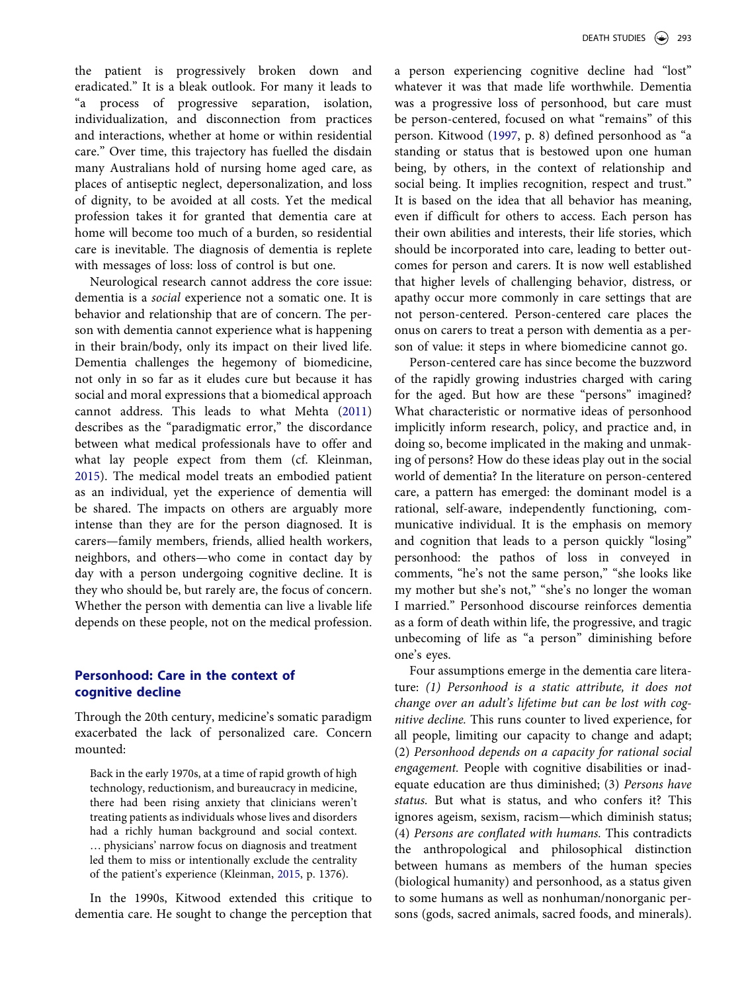the patient is progressively broken down and eradicated." It is a bleak outlook. For many it leads to "a process of progressive separation, isolation, individualization, and disconnection from practices and interactions, whether at home or within residential care." Over time, this trajectory has fuelled the disdain many Australians hold of nursing home aged care, as places of antiseptic neglect, depersonalization, and loss of dignity, to be avoided at all costs. Yet the medical profession takes it for granted that dementia care at home will become too much of a burden, so residential care is inevitable. The diagnosis of dementia is replete with messages of loss: loss of control is but one.

Neurological research cannot address the core issue: dementia is a *social* experience not a somatic one. It is behavior and relationship that are of concern. The person with dementia cannot experience what is happening in their brain/body, only its impact on their lived life. Dementia challenges the hegemony of biomedicine, not only in so far as it eludes cure but because it has social and moral expressions that a biomedical approach cannot address. This leads to what Mehta (2011) describes as the "paradigmatic error," the discordance between what medical professionals have to offer and what lay people expect from them (cf. Kleinman, 2015). The medical model treats an embodied patient as an individual, yet the experience of dementia will be shared. The impacts on others are arguably more intense than they are for the person diagnosed. It is carers—family members, friends, allied health workers, neighbors, and others—who come in contact day by day with a person undergoing cognitive decline. It is they who should be, but rarely are, the focus of concern. Whether the person with dementia can live a livable life depends on these people, not on the medical profession.

# **Personhood: Care in the context of cognitive decline**

Through the 20th century, medicine's somatic paradigm exacerbated the lack of personalized care. Concern mounted:

Back in the early 1970s, at a time of rapid growth of high technology, reductionism, and bureaucracy in medicine, there had been rising anxiety that clinicians weren't treating patients as individuals whose lives and disorders had a richly human background and social context. … physicians' narrow focus on diagnosis and treatment led them to miss or intentionally exclude the centrality of the patient's experience (Kleinman, 2015, p. 1376).

In the 1990s, Kitwood extended this critique to dementia care. He sought to change the perception that a person experiencing cognitive decline had "lost" whatever it was that made life worthwhile. Dementia was a progressive loss of personhood, but care must be person-centered, focused on what "remains" of this person. Kitwood (1997, p. 8) defined personhood as "a standing or status that is bestowed upon one human being, by others, in the context of relationship and social being. It implies recognition, respect and trust." It is based on the idea that all behavior has meaning, even if difficult for others to access. Each person has their own abilities and interests, their life stories, which should be incorporated into care, leading to better outcomes for person and carers. It is now well established that higher levels of challenging behavior, distress, or apathy occur more commonly in care settings that are not person-centered. Person-centered care places the onus on carers to treat a person with dementia as a person of value: it steps in where biomedicine cannot go.

Person-centered care has since become the buzzword of the rapidly growing industries charged with caring for the aged. But how are these "persons" imagined? What characteristic or normative ideas of personhood implicitly inform research, policy, and practice and, in doing so, become implicated in the making and unmaking of persons? How do these ideas play out in the social world of dementia? In the literature on person-centered care, a pattern has emerged: the dominant model is a rational, self-aware, independently functioning, communicative individual. It is the emphasis on memory and cognition that leads to a person quickly "losing" personhood: the pathos of loss in conveyed in comments, "he's not the same person," "she looks like my mother but she's not," "she's no longer the woman I married." Personhood discourse reinforces dementia as a form of death within life, the progressive, and tragic unbecoming of life as "a person" diminishing before one's eyes.

Four assumptions emerge in the dementia care literature: *(1) Personhood is a static attribute, it does not change over an adult's lifetime but can be lost with cognitive decline.* This runs counter to lived experience, for all people, limiting our capacity to change and adapt; (2) *Personhood depends on a capacity for rational social engagement.* People with cognitive disabilities or inadequate education are thus diminished; (3) *Persons have status.* But what is status, and who confers it? This ignores ageism, sexism, racism—which diminish status; (4) *Persons are conflated with humans.* This contradicts the anthropological and philosophical distinction between humans as members of the human species (biological humanity) and personhood, as a status given to some humans as well as nonhuman/nonorganic persons (gods, sacred animals, sacred foods, and minerals).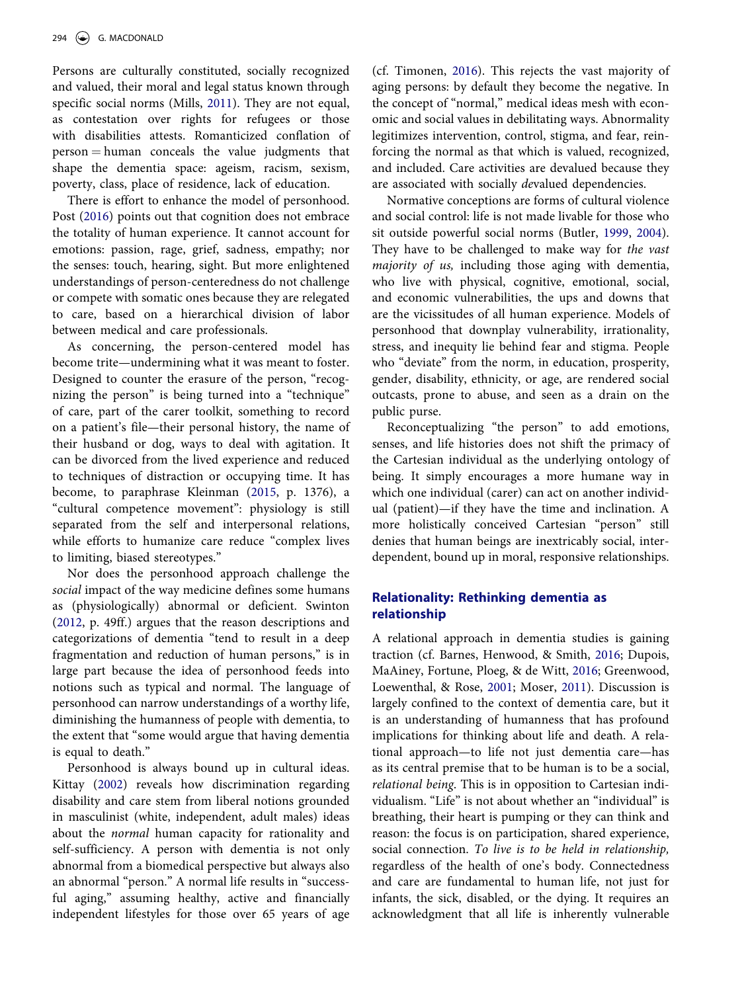Persons are culturally constituted, socially recognized and valued, their moral and legal status known through specific social norms (Mills, 2011). They are not equal, as contestation over rights for refugees or those with disabilities attests. Romanticized conflation of  $person = human$  conceals the value judgments that shape the dementia space: ageism, racism, sexism, poverty, class, place of residence, lack of education.

There is effort to enhance the model of personhood. Post (2016) points out that cognition does not embrace the totality of human experience. It cannot account for emotions: passion, rage, grief, sadness, empathy; nor the senses: touch, hearing, sight. But more enlightened understandings of person-centeredness do not challenge or compete with somatic ones because they are relegated to care, based on a hierarchical division of labor between medical and care professionals.

As concerning, the person-centered model has become trite—undermining what it was meant to foster. Designed to counter the erasure of the person, "recognizing the person" is being turned into a "technique" of care, part of the carer toolkit, something to record on a patient's file—their personal history, the name of their husband or dog, ways to deal with agitation. It can be divorced from the lived experience and reduced to techniques of distraction or occupying time. It has become, to paraphrase Kleinman (2015, p. 1376), a "cultural competence movement": physiology is still separated from the self and interpersonal relations, while efforts to humanize care reduce "complex lives to limiting, biased stereotypes."

Nor does the personhood approach challenge the *social* impact of the way medicine defines some humans as (physiologically) abnormal or deficient. Swinton (2012, p. 49ff.) argues that the reason descriptions and categorizations of dementia "tend to result in a deep fragmentation and reduction of human persons," is in large part because the idea of personhood feeds into notions such as typical and normal. The language of personhood can narrow understandings of a worthy life, diminishing the humanness of people with dementia, to the extent that "some would argue that having dementia is equal to death."

Personhood is always bound up in cultural ideas. Kittay (2002) reveals how discrimination regarding disability and care stem from liberal notions grounded in masculinist (white, independent, adult males) ideas about the *normal* human capacity for rationality and self-sufficiency. A person with dementia is not only abnormal from a biomedical perspective but always also an abnormal "person." A normal life results in "successful aging," assuming healthy, active and financially independent lifestyles for those over 65 years of age (cf. Timonen, 2016). This rejects the vast majority of aging persons: by default they become the negative. In the concept of "normal," medical ideas mesh with economic and social values in debilitating ways. Abnormality legitimizes intervention, control, stigma, and fear, reinforcing the normal as that which is valued, recognized, and included. Care activities are devalued because they are associated with socially *de*valued dependencies.

Normative conceptions are forms of cultural violence and social control: life is not made livable for those who sit outside powerful social norms (Butler, 1999, 2004). They have to be challenged to make way for *the vast majority of us,* including those aging with dementia, who live with physical, cognitive, emotional, social, and economic vulnerabilities, the ups and downs that are the vicissitudes of all human experience. Models of personhood that downplay vulnerability, irrationality, stress, and inequity lie behind fear and stigma. People who "deviate" from the norm, in education, prosperity, gender, disability, ethnicity, or age, are rendered social outcasts, prone to abuse, and seen as a drain on the public purse.

Reconceptualizing "the person" to add emotions, senses, and life histories does not shift the primacy of the Cartesian individual as the underlying ontology of being. It simply encourages a more humane way in which one individual (carer) can act on another individual (patient)—if they have the time and inclination. A more holistically conceived Cartesian "person" still denies that human beings are inextricably social, interdependent, bound up in moral, responsive relationships.

## **Relationality: Rethinking dementia as relationship**

A relational approach in dementia studies is gaining traction (cf. Barnes, Henwood, & Smith, 2016; Dupois, MaAiney, Fortune, Ploeg, & de Witt, 2016; Greenwood, Loewenthal, & Rose, 2001; Moser, 2011). Discussion is largely confined to the context of dementia care, but it is an understanding of humanness that has profound implications for thinking about life and death. A relational approach—to life not just dementia care—has as its central premise that to be human is to be a social, *relational being*. This is in opposition to Cartesian individualism. "Life" is not about whether an "individual" is breathing, their heart is pumping or they can think and reason: the focus is on participation, shared experience, social connection. *To live is to be held in relationship,*  regardless of the health of one's body. Connectedness and care are fundamental to human life, not just for infants, the sick, disabled, or the dying. It requires an acknowledgment that all life is inherently vulnerable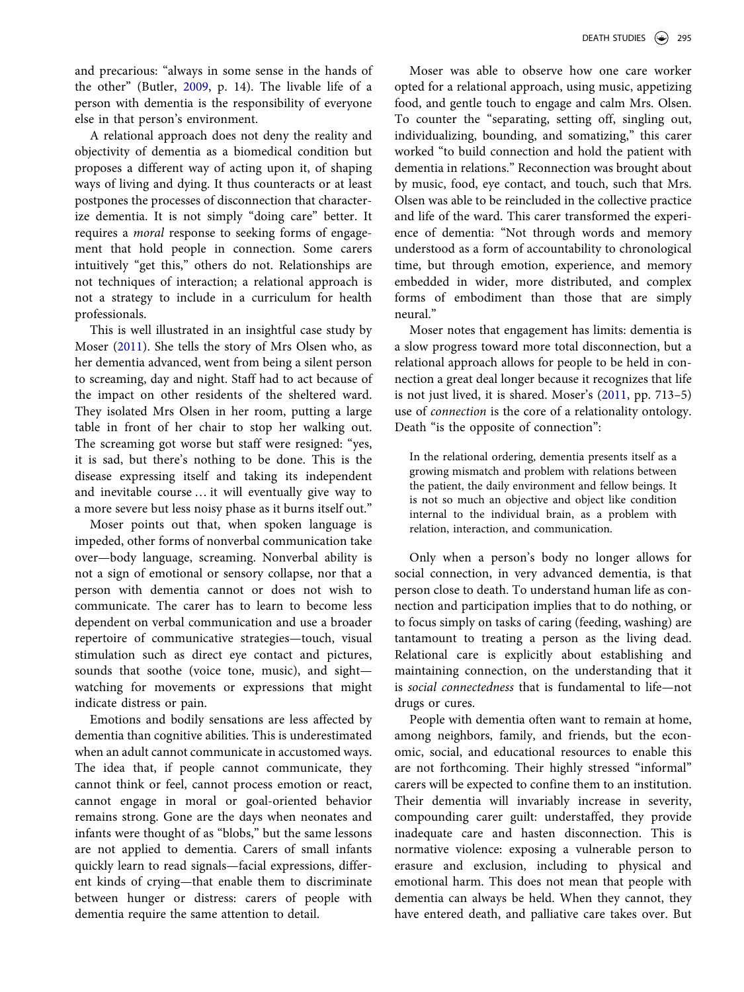and precarious: "always in some sense in the hands of the other" (Butler, 2009, p. 14). The livable life of a person with dementia is the responsibility of everyone else in that person's environment.

A relational approach does not deny the reality and objectivity of dementia as a biomedical condition but proposes a different way of acting upon it, of shaping ways of living and dying. It thus counteracts or at least postpones the processes of disconnection that characterize dementia. It is not simply "doing care" better. It requires a *moral* response to seeking forms of engagement that hold people in connection. Some carers intuitively "get this," others do not. Relationships are not techniques of interaction; a relational approach is not a strategy to include in a curriculum for health professionals.

This is well illustrated in an insightful case study by Moser (2011). She tells the story of Mrs Olsen who, as her dementia advanced, went from being a silent person to screaming, day and night. Staff had to act because of the impact on other residents of the sheltered ward. They isolated Mrs Olsen in her room, putting a large table in front of her chair to stop her walking out. The screaming got worse but staff were resigned: "yes, it is sad, but there's nothing to be done. This is the disease expressing itself and taking its independent and inevitable course … it will eventually give way to a more severe but less noisy phase as it burns itself out."

Moser points out that, when spoken language is impeded, other forms of nonverbal communication take over—body language, screaming. Nonverbal ability is not a sign of emotional or sensory collapse, nor that a person with dementia cannot or does not wish to communicate. The carer has to learn to become less dependent on verbal communication and use a broader repertoire of communicative strategies—touch, visual stimulation such as direct eye contact and pictures, sounds that soothe (voice tone, music), and sight watching for movements or expressions that might indicate distress or pain.

Emotions and bodily sensations are less affected by dementia than cognitive abilities. This is underestimated when an adult cannot communicate in accustomed ways. The idea that, if people cannot communicate, they cannot think or feel, cannot process emotion or react, cannot engage in moral or goal-oriented behavior remains strong. Gone are the days when neonates and infants were thought of as "blobs," but the same lessons are not applied to dementia. Carers of small infants quickly learn to read signals—facial expressions, different kinds of crying—that enable them to discriminate between hunger or distress: carers of people with dementia require the same attention to detail.

Moser was able to observe how one care worker opted for a relational approach, using music, appetizing food, and gentle touch to engage and calm Mrs. Olsen. To counter the "separating, setting off, singling out, individualizing, bounding, and somatizing," this carer worked "to build connection and hold the patient with dementia in relations." Reconnection was brought about by music, food, eye contact, and touch, such that Mrs. Olsen was able to be reincluded in the collective practice and life of the ward. This carer transformed the experience of dementia: "Not through words and memory understood as a form of accountability to chronological time, but through emotion, experience, and memory embedded in wider, more distributed, and complex forms of embodiment than those that are simply neural."

Moser notes that engagement has limits: dementia is a slow progress toward more total disconnection, but a relational approach allows for people to be held in connection a great deal longer because it recognizes that life is not just lived, it is shared. Moser's (2011, pp. 713–5) use of *connection* is the core of a relationality ontology. Death "is the opposite of connection":

In the relational ordering, dementia presents itself as a growing mismatch and problem with relations between the patient, the daily environment and fellow beings. It is not so much an objective and object like condition internal to the individual brain, as a problem with relation, interaction, and communication.

Only when a person's body no longer allows for social connection, in very advanced dementia, is that person close to death. To understand human life as connection and participation implies that to do nothing, or to focus simply on tasks of caring (feeding, washing) are tantamount to treating a person as the living dead. Relational care is explicitly about establishing and maintaining connection, on the understanding that it is *social connectedness* that is fundamental to life—not drugs or cures.

People with dementia often want to remain at home, among neighbors, family, and friends, but the economic, social, and educational resources to enable this are not forthcoming. Their highly stressed "informal" carers will be expected to confine them to an institution. Their dementia will invariably increase in severity, compounding carer guilt: understaffed, they provide inadequate care and hasten disconnection. This is normative violence: exposing a vulnerable person to erasure and exclusion, including to physical and emotional harm. This does not mean that people with dementia can always be held. When they cannot, they have entered death, and palliative care takes over. But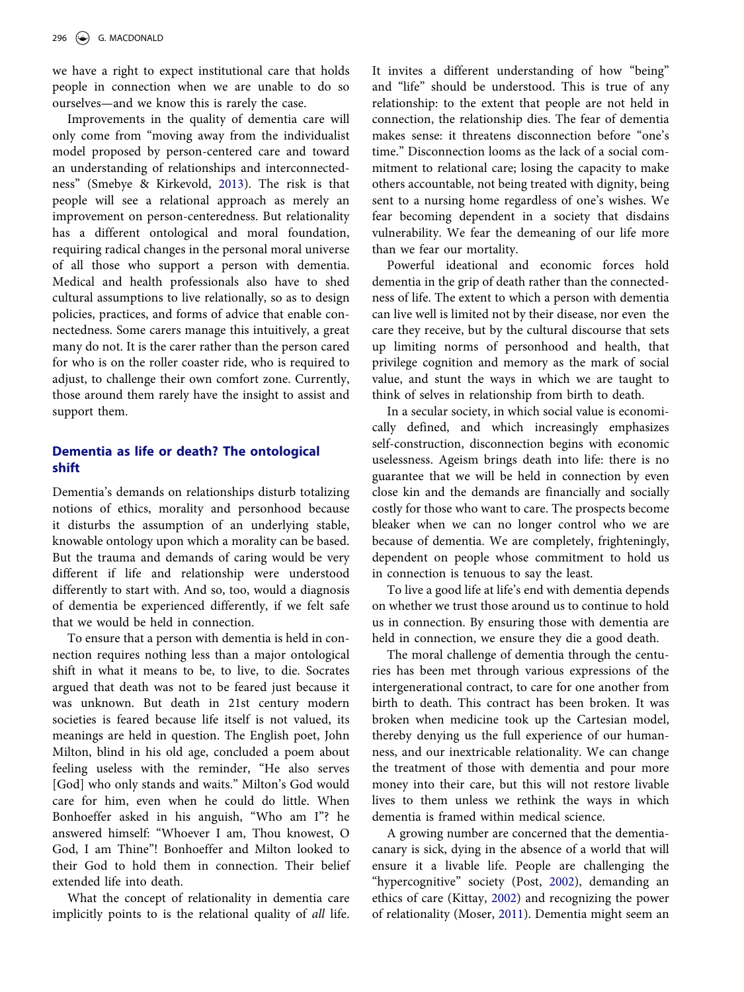we have a right to expect institutional care that holds people in connection when we are unable to do so ourselves—and we know this is rarely the case.

Improvements in the quality of dementia care will only come from "moving away from the individualist model proposed by person-centered care and toward an understanding of relationships and interconnectedness" (Smebye & Kirkevold, 2013). The risk is that people will see a relational approach as merely an improvement on person-centeredness. But relationality has a different ontological and moral foundation, requiring radical changes in the personal moral universe of all those who support a person with dementia. Medical and health professionals also have to shed cultural assumptions to live relationally, so as to design policies, practices, and forms of advice that enable connectedness. Some carers manage this intuitively, a great many do not. It is the carer rather than the person cared for who is on the roller coaster ride, who is required to adjust, to challenge their own comfort zone. Currently, those around them rarely have the insight to assist and support them.

### **Dementia as life or death? The ontological shift**

Dementia's demands on relationships disturb totalizing notions of ethics, morality and personhood because it disturbs the assumption of an underlying stable, knowable ontology upon which a morality can be based. But the trauma and demands of caring would be very different if life and relationship were understood differently to start with. And so, too, would a diagnosis of dementia be experienced differently, if we felt safe that we would be held in connection.

To ensure that a person with dementia is held in connection requires nothing less than a major ontological shift in what it means to be, to live, to die. Socrates argued that death was not to be feared just because it was unknown. But death in 21st century modern societies is feared because life itself is not valued, its meanings are held in question. The English poet, John Milton, blind in his old age, concluded a poem about feeling useless with the reminder, "He also serves [God] who only stands and waits." Milton's God would care for him, even when he could do little. When Bonhoeffer asked in his anguish, "Who am I"? he answered himself: "Whoever I am, Thou knowest, O God, I am Thine"! Bonhoeffer and Milton looked to their God to hold them in connection. Their belief extended life into death.

What the concept of relationality in dementia care implicitly points to is the relational quality of *all* life. It invites a different understanding of how "being" and "life" should be understood. This is true of any relationship: to the extent that people are not held in connection, the relationship dies. The fear of dementia makes sense: it threatens disconnection before "one's time." Disconnection looms as the lack of a social commitment to relational care; losing the capacity to make others accountable, not being treated with dignity, being sent to a nursing home regardless of one's wishes. We fear becoming dependent in a society that disdains vulnerability. We fear the demeaning of our life more than we fear our mortality.

Powerful ideational and economic forces hold dementia in the grip of death rather than the connectedness of life. The extent to which a person with dementia can live well is limited not by their disease, nor even the care they receive, but by the cultural discourse that sets up limiting norms of personhood and health, that privilege cognition and memory as the mark of social value, and stunt the ways in which we are taught to think of selves in relationship from birth to death.

In a secular society, in which social value is economically defined, and which increasingly emphasizes self-construction, disconnection begins with economic uselessness. Ageism brings death into life: there is no guarantee that we will be held in connection by even close kin and the demands are financially and socially costly for those who want to care. The prospects become bleaker when we can no longer control who we are because of dementia. We are completely, frighteningly, dependent on people whose commitment to hold us in connection is tenuous to say the least.

To live a good life at life's end with dementia depends on whether we trust those around us to continue to hold us in connection. By ensuring those with dementia are held in connection, we ensure they die a good death.

The moral challenge of dementia through the centuries has been met through various expressions of the intergenerational contract, to care for one another from birth to death. This contract has been broken. It was broken when medicine took up the Cartesian model, thereby denying us the full experience of our humanness, and our inextricable relationality. We can change the treatment of those with dementia and pour more money into their care, but this will not restore livable lives to them unless we rethink the ways in which dementia is framed within medical science.

A growing number are concerned that the dementiacanary is sick, dying in the absence of a world that will ensure it a livable life. People are challenging the "hypercognitive" society (Post, 2002), demanding an ethics of care (Kittay, 2002) and recognizing the power of relationality (Moser, 2011). Dementia might seem an